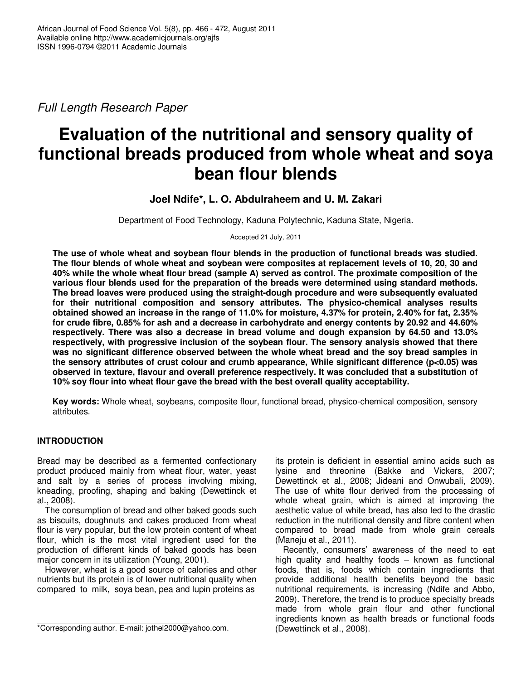Full Length Research Paper

# **Evaluation of the nutritional and sensory quality of functional breads produced from whole wheat and soya bean flour blends**

**Joel Ndife\*, L. O. Abdulraheem and U. M. Zakari** 

Department of Food Technology, Kaduna Polytechnic, Kaduna State, Nigeria.

Accepted 21 July, 2011

**The use of whole wheat and soybean flour blends in the production of functional breads was studied. The flour blends of whole wheat and soybean were composites at replacement levels of 10, 20, 30 and 40% while the whole wheat flour bread (sample A) served as control. The proximate composition of the various flour blends used for the preparation of the breads were determined using standard methods. The bread loaves were produced using the straight-dough procedure and were subsequently evaluated for their nutritional composition and sensory attributes. The physico-chemical analyses results obtained showed an increase in the range of 11.0% for moisture, 4.37% for protein, 2.40% for fat, 2.35% for crude fibre, 0.85% for ash and a decrease in carbohydrate and energy contents by 20.92 and 44.60% respectively. There was also a decrease in bread volume and dough expansion by 64.50 and 13.0% respectively, with progressive inclusion of the soybean flour. The sensory analysis showed that there was no significant difference observed between the whole wheat bread and the soy bread samples in the sensory attributes of crust colour and crumb appearance, While significant difference (p<0.05) was observed in texture, flavour and overall preference respectively. It was concluded that a substitution of 10% soy flour into wheat flour gave the bread with the best overall quality acceptability.** 

**Key words:** Whole wheat, soybeans, composite flour, functional bread, physico-chemical composition, sensory attributes.

# **INTRODUCTION**

Bread may be described as a fermented confectionary product produced mainly from wheat flour, water, yeast and salt by a series of process involving mixing, kneading, proofing, shaping and baking (Dewettinck et al., 2008).

The consumption of bread and other baked goods such as biscuits, doughnuts and cakes produced from wheat flour is very popular, but the low protein content of wheat flour, which is the most vital ingredient used for the production of different kinds of baked goods has been major concern in its utilization (Young, 2001).

However, wheat is a good source of calories and other nutrients but its protein is of lower nutritional quality when compared to milk, soya bean, pea and lupin proteins as

its protein is deficient in essential amino acids such as lysine and threonine (Bakke and Vickers, 2007; Dewettinck et al., 2008; Jideani and Onwubali, 2009). The use of white flour derived from the processing of whole wheat grain, which is aimed at improving the aesthetic value of white bread, has also led to the drastic reduction in the nutritional density and fibre content when compared to bread made from whole grain cereals (Maneju et al., 2011).

Recently, consumers' awareness of the need to eat high quality and healthy foods – known as functional foods, that is, foods which contain ingredients that provide additional health benefits beyond the basic nutritional requirements, is increasing (Ndife and Abbo, 2009). Therefore, the trend is to produce specialty breads made from whole grain flour and other functional ingredients known as health breads or functional foods (Dewettinck et al., 2008).

<sup>\*</sup>Corresponding author. E-mail: jothel2000@yahoo.com.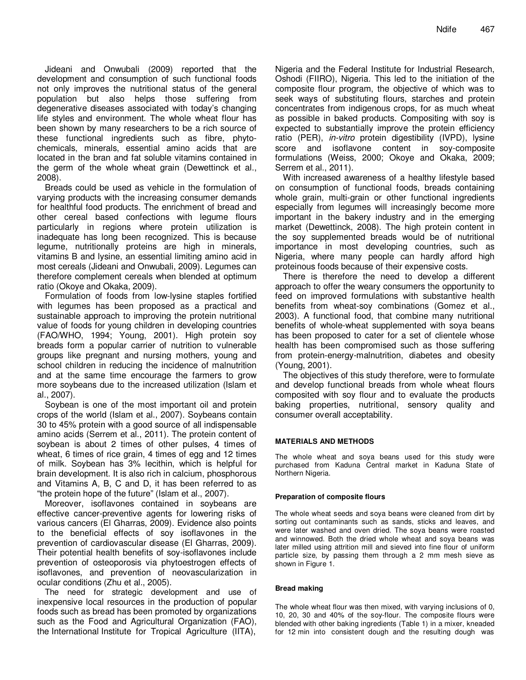Jideani and Onwubali (2009) reported that the development and consumption of such functional foods not only improves the nutritional status of the general population but also helps those suffering from degenerative diseases associated with today's changing life styles and environment. The whole wheat flour has been shown by many researchers to be a rich source of these functional ingredients such as fibre, phytochemicals, minerals, essential amino acids that are located in the bran and fat soluble vitamins contained in the germ of the whole wheat grain (Dewettinck et al., 2008).

Breads could be used as vehicle in the formulation of varying products with the increasing consumer demands for healthful food products. The enrichment of bread and other cereal based confections with legume flours particularly in regions where protein utilization is inadequate has long been recognized. This is because legume, nutritionally proteins are high in minerals, vitamins B and lysine, an essential limiting amino acid in most cereals (Jideani and Onwubali, 2009). Legumes can therefore complement cereals when blended at optimum ratio (Okoye and Okaka, 2009).

Formulation of foods from low-lysine staples fortified with legumes has been proposed as a practical and sustainable approach to improving the protein nutritional value of foods for young children in developing countries (FAO/WHO, 1994; Young, 2001). High protein soy breads form a popular carrier of nutrition to vulnerable groups like pregnant and nursing mothers, young and school children in reducing the incidence of malnutrition and at the same time encourage the farmers to grow more soybeans due to the increased utilization (Islam et al., 2007).

Soybean is one of the most important oil and protein crops of the world (Islam et al., 2007). Soybeans contain 30 to 45% protein with a good source of all indispensable amino acids (Serrem et al., 2011). The protein content of soybean is about 2 times of other pulses, 4 times of wheat, 6 times of rice grain, 4 times of egg and 12 times of milk. Soybean has 3% lecithin, which is helpful for brain development. It is also rich in calcium, phosphorous and Vitamins A, B, C and D, it has been referred to as "the protein hope of the future" (Islam et al., 2007).

Moreover, isoflavones contained in soybeans are effective cancer-preventive agents for lowering risks of various cancers (El Gharras, 2009). Evidence also points to the beneficial effects of soy isoflavones in the prevention of cardiovascular disease (El Gharras, 2009). Their potential health benefits of soy-isoflavones include prevention of osteoporosis via phytoestrogen effects of isoflavones, and prevention of neovascularization in ocular conditions (Zhu et al., 2005).

The need for strategic development and use of inexpensive local resources in the production of popular foods such as bread has been promoted by organizations such as the Food and Agricultural Organization (FAO), the International Institute for Tropical Agriculture (IITA),

Nigeria and the Federal Institute for Industrial Research, Oshodi (FIIRO), Nigeria. This led to the initiation of the composite flour program, the objective of which was to seek ways of substituting flours, starches and protein concentrates from indigenous crops, for as much wheat as possible in baked products. Compositing with soy is expected to substantially improve the protein efficiency ratio (PER), in-vitro protein digestibility (IVPD), lysine score and isoflavone content in soy-composite formulations (Weiss, 2000; Okoye and Okaka, 2009; Serrem et al., 2011).

With increased awareness of a healthy lifestyle based on consumption of functional foods, breads containing whole grain, multi-grain or other functional ingredients especially from legumes will increasingly become more important in the bakery industry and in the emerging market (Dewettinck, 2008). The high protein content in the soy supplemented breads would be of nutritional importance in most developing countries, such as Nigeria, where many people can hardly afford high proteinous foods because of their expensive costs.

There is therefore the need to develop a different approach to offer the weary consumers the opportunity to feed on improved formulations with substantive health benefits from wheat-soy combinations (Gomez et al., 2003). A functional food, that combine many nutritional benefits of whole-wheat supplemented with soya beans has been proposed to cater for a set of clientele whose health has been compromised such as those suffering from protein-energy-malnutrition, diabetes and obesity (Young, 2001).

The objectives of this study therefore, were to formulate and develop functional breads from whole wheat flours composited with soy flour and to evaluate the products baking properties, nutritional, sensory quality and consumer overall acceptability.

## **MATERIALS AND METHODS**

The whole wheat and soya beans used for this study were purchased from Kaduna Central market in Kaduna State of Northern Nigeria.

#### **Preparation of composite flours**

The whole wheat seeds and soya beans were cleaned from dirt by sorting out contaminants such as sands, sticks and leaves, and were later washed and oven dried. The soya beans were roasted and winnowed. Both the dried whole wheat and soya beans was later milled using attrition mill and sieved into fine flour of uniform particle size, by passing them through a 2 mm mesh sieve as shown in Figure 1.

#### **Bread making**

The whole wheat flour was then mixed, with varying inclusions of 0, 10, 20, 30 and 40% of the soy-flour. The composite flours were blended with other baking ingredients (Table 1) in a mixer, kneaded for 12 min into consistent dough and the resulting dough was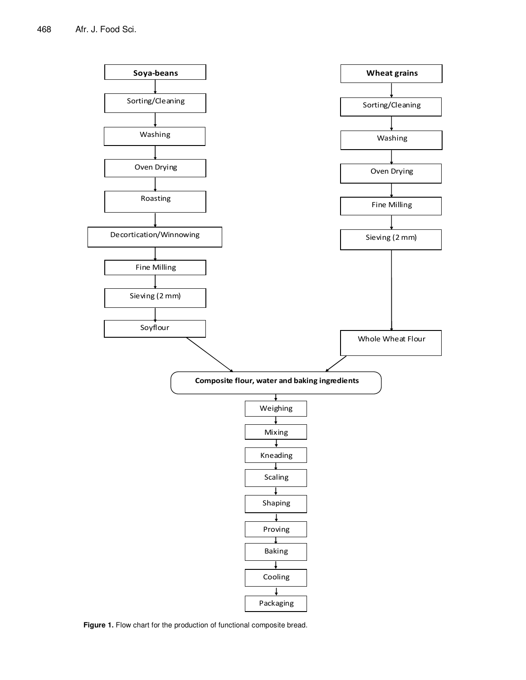

Figure 1. Flow chart for the production of functional composite bread.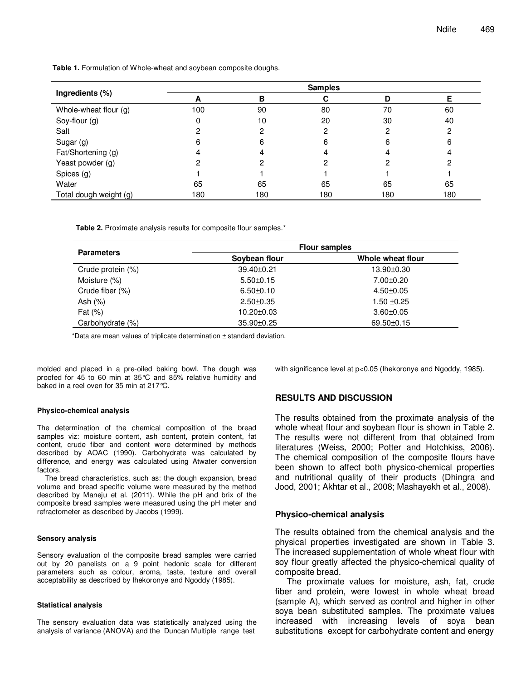| Ingredients (%)        | <b>Samples</b> |     |     |     |     |
|------------------------|----------------|-----|-----|-----|-----|
|                        | A              | в   |     | D   |     |
| Whole-wheat flour (g)  | 100            | 90  | 80  | 70  | 60  |
| Soy-flour (g)          | 0              | 10  | 20  | 30  | 40  |
| Salt                   |                | 2   | 2   | 0   | ິ   |
| Sugar (g)              | 6              | 6   | 6   | 6   | 6   |
| Fat/Shortening (g)     |                | 4   |     |     | 4   |
| Yeast powder (g)       |                |     |     |     |     |
| Spices (g)             |                |     |     |     |     |
| Water                  | 65             | 65  | 65  | 65  | 65  |
| Total dough weight (g) | 180            | 180 | 180 | 180 | 180 |

**Table 1.** Formulation of Whole-wheat and soybean composite doughs.

**Table 2.** Proximate analysis results for composite flour samples.\*

|                   | <b>Flour samples</b> |                   |  |  |
|-------------------|----------------------|-------------------|--|--|
| <b>Parameters</b> | Soybean flour        | Whole wheat flour |  |  |
| Crude protein (%) | 39.40±0.21           | 13.90±0.30        |  |  |
| Moisture (%)      | $5.50 \pm 0.15$      | $7.00 \pm 0.20$   |  |  |
| Crude fiber (%)   | $6.50 \pm 0.10$      | $4.50 + 0.05$     |  |  |
| Ash $(%)$         | $2.50 \pm 0.35$      | $1.50 + 0.25$     |  |  |
| Fat $(\%)$        | 10.20±0.03           | $3.60 + 0.05$     |  |  |
| Carbohydrate (%)  | 35.90±0.25           | 69.50±0.15        |  |  |

\*Data are mean values of triplicate determination ± standard deviation.

molded and placed in a pre-oiled baking bowl. The dough was proofed for 45 to 60 min at 35°C and 85% relative humidity and baked in a reel oven for 35 min at 217°C.

#### **Physico-chemical analysis**

The determination of the chemical composition of the bread samples viz: moisture content, ash content, protein content, fat content, crude fiber and content were determined by methods described by AOAC (1990). Carbohydrate was calculated by difference, and energy was calculated using Atwater conversion factors.

The bread characteristics, such as: the dough expansion, bread volume and bread specific volume were measured by the method described by Maneju et al. (2011). While the pH and brix of the composite bread samples were measured using the pH meter and refractometer as described by Jacobs (1999).

#### **Sensory analysis**

Sensory evaluation of the composite bread samples were carried out by 20 panelists on a 9 point hedonic scale for different parameters such as colour, aroma, taste, texture and overall acceptability as described by Ihekoronye and Ngoddy (1985).

#### **Statistical analysis**

The sensory evaluation data was statistically analyzed using the analysis of variance (ANOVA) and the Duncan Multiple range test

with significance level at p<0.05 (Ihekoronye and Ngoddy, 1985).

## **RESULTS AND DISCUSSION**

The results obtained from the proximate analysis of the whole wheat flour and soybean flour is shown in Table 2. The results were not different from that obtained from literatures (Weiss, 2000; Potter and Hotchkiss, 2006). The chemical composition of the composite flours have been shown to affect both physico-chemical properties and nutritional quality of their products (Dhingra and Jood, 2001; Akhtar et al., 2008; Mashayekh et al., 2008).

## **Physico-chemical analysis**

The results obtained from the chemical analysis and the physical properties investigated are shown in Table 3. The increased supplementation of whole wheat flour with soy flour greatly affected the physico-chemical quality of composite bread.

The proximate values for moisture, ash, fat, crude fiber and protein, were lowest in whole wheat bread (sample A), which served as control and higher in other soya bean substituted samples. The proximate values increased with increasing levels of soya bean substitutions except for carbohydrate content and energy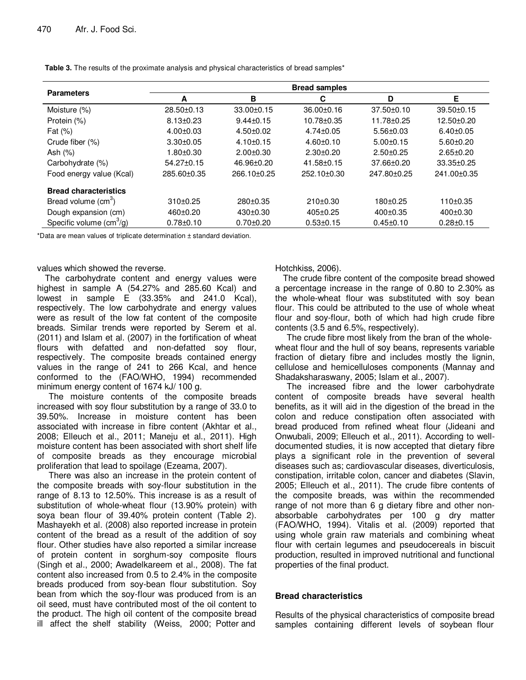| <b>Parameters</b>               | <b>Bread samples</b> |                   |                   |                  |                  |  |
|---------------------------------|----------------------|-------------------|-------------------|------------------|------------------|--|
|                                 | A                    | в                 | C                 | D                | Е                |  |
| Moisture (%)                    | $28.50 \pm 0.13$     | $33.00 \pm 0.15$  | $36.00 \pm 0.16$  | $37.50 \pm 0.10$ | $39.50 \pm 0.15$ |  |
| Protein (%)                     | $8.13 \pm 0.23$      | $9.44 \pm 0.15$   | 10.78±0.35        | 11.78±0.25       | 12.50±0.20       |  |
| Fat $(\%)$                      | $4.00 + 0.03$        | $4.50+0.02$       | $4.74 \pm 0.05$   | $5.56 \pm 0.03$  | $6.40 \pm 0.05$  |  |
| Crude fiber (%)                 | $3.30 + 0.05$        | $4.10 \pm 0.15$   | $4.60 + 0.10$     | $5.00+0.15$      | $5.60 \pm 0.20$  |  |
| Ash $(\%)$                      | $1.80 + 0.30$        | $2.00+0.30$       | $2.30+0.20$       | $2.50+0.25$      | $2.65 \pm 0.20$  |  |
| Carbohydrate (%)                | $54.27 \pm 0.15$     | 46.96±0.20        | $41.58 \pm 0.15$  | $37.66 \pm 0.20$ | $33.35 \pm 0.25$ |  |
| Food energy value (Kcal)        | 285.60±0.35          | $266.10 \pm 0.25$ | $252.10 \pm 0.30$ | 247.80±0.25      | 241.00±0.35      |  |
| <b>Bread characteristics</b>    |                      |                   |                   |                  |                  |  |
| Bread volume (cm <sup>3</sup> ) | $310+0.25$           | $280 \pm 0.35$    | $210\pm0.30$      | $180+0.25$       | 110±0.35         |  |
| Dough expansion (cm)            | 460±0.20             | $430 \pm 0.30$    | $405 \pm 0.25$    | 400±0.35         | $400 \pm 0.30$   |  |
| Specific volume $(cm3/g)$       | $0.78 + 0.10$        | $0.70 + 0.20$     | $0.53 \pm 0.15$   | $0.45 \pm 0.10$  | $0.28 + 0.15$    |  |

**Table 3.** The results of the proximate analysis and physical characteristics of bread samples\*

\*Data are mean values of triplicate determination ± standard deviation.

## values which showed the reverse.

The carbohydrate content and energy values were highest in sample A (54.27% and 285.60 Kcal) and lowest in sample E (33.35% and 241.0 Kcal), respectively. The low carbohydrate and energy values were as result of the low fat content of the composite breads. Similar trends were reported by Serem et al. (2011) and Islam et al. (2007) in the fortification of wheat flours with defatted and non-defatted soy flour, respectively. The composite breads contained energy values in the range of 241 to 266 Kcal, and hence conformed to the (FAO/WHO, 1994) recommended minimum energy content of 1674 kJ/ 100 g.

The moisture contents of the composite breads increased with soy flour substitution by a range of 33.0 to 39.50%. Increase in moisture content has been associated with increase in fibre content (Akhtar et al., 2008; Elleuch et al., 2011; Maneju et al., 2011). High moisture content has been associated with short shelf life of composite breads as they encourage microbial proliferation that lead to spoilage (Ezeama, 2007).

There was also an increase in the protein content of the composite breads with soy-flour substitution in the range of 8.13 to 12.50%. This increase is as a result of substitution of whole-wheat flour (13.90% protein) with soya bean flour of 39.40% protein content (Table 2). Mashayekh et al. (2008) also reported increase in protein content of the bread as a result of the addition of soy flour. Other studies have also reported a similar increase of protein content in sorghum-soy composite flours (Singh et al., 2000; Awadelkareem et al., 2008). The fat content also increased from 0.5 to 2.4% in the composite breads produced from soy-bean flour substitution. Soy bean from which the soy-flour was produced from is an oil seed, must have contributed most of the oil content to the product. The high oil content of the composite bread ill affect the shelf stability (Weiss, 2000; Potter and

Hotchkiss, 2006).

The crude fibre content of the composite bread showed a percentage increase in the range of 0.80 to 2.30% as the whole-wheat flour was substituted with soy bean flour. This could be attributed to the use of whole wheat flour and soy-flour, both of which had high crude fibre contents (3.5 and 6.5%, respectively).

The crude fibre most likely from the bran of the wholewheat flour and the hull of soy beans, represents variable fraction of dietary fibre and includes mostly the lignin, cellulose and hemicelluloses components (Mannay and Shadaksharaswany, 2005; Islam et al., 2007).

The increased fibre and the lower carbohydrate content of composite breads have several health benefits, as it will aid in the digestion of the bread in the colon and reduce constipation often associated with bread produced from refined wheat flour (Jideani and Onwubali, 2009; Elleuch et al., 2011). According to welldocumented studies, it is now accepted that dietary fibre plays a significant role in the prevention of several diseases such as; cardiovascular diseases, diverticulosis, constipation, irritable colon, cancer and diabetes (Slavin, 2005; Elleuch et al., 2011). The crude fibre contents of the composite breads, was within the recommended range of not more than 6 g dietary fibre and other nonabsorbable carbohydrates per 100 g dry matter (FAO/WHO, 1994). Vitalis et al. (2009) reported that using whole grain raw materials and combining wheat flour with certain legumes and pseudocereals in biscuit production, resulted in improved nutritional and functional properties of the final product.

# **Bread characteristics**

Results of the physical characteristics of composite bread samples containing different levels of soybean flour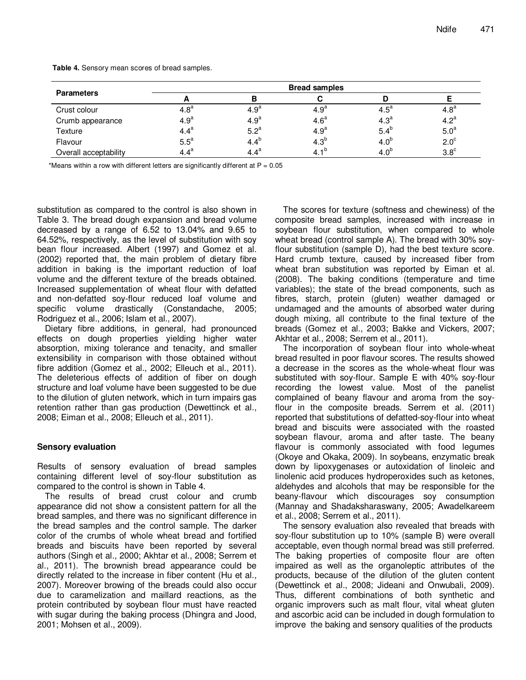| <b>Parameters</b>     | <b>Bread samples</b> |                  |                  |                  |                  |  |
|-----------------------|----------------------|------------------|------------------|------------------|------------------|--|
|                       |                      |                  |                  | D                |                  |  |
| Crust colour          | 4.8 <sup>a</sup>     | 4.9 <sup>a</sup> | 4.9 <sup>a</sup> | $4.5^a$          | 4.8 <sup>a</sup> |  |
| Crumb appearance      | 4.9 <sup>a</sup>     | 4.9 <sup>a</sup> | 4.6 <sup>a</sup> | 4.3 <sup>a</sup> | 4.2 <sup>a</sup> |  |
| Texture               | 4.4 <sup>a</sup>     | 5.2 <sup>a</sup> | 4.9 <sup>a</sup> | $5.4^{b}$        | 5.0 <sup>a</sup> |  |
| Flavour               | $5.5^a$              | $4.4^{b}$        | 4.3 <sup>b</sup> | 4.0 <sup>b</sup> | 2.0 <sup>c</sup> |  |
| Overall acceptability | $4.4^a$              | $4.4^a$          | 4.1 <sup>b</sup> | 4.0 <sup>b</sup> | $3.8^\circ$      |  |

**Table 4.** Sensory mean scores of bread samples.

\*Means within a row with different letters are significantly different at  $P = 0.05$ 

substitution as compared to the control is also shown in Table 3. The bread dough expansion and bread volume decreased by a range of 6.52 to 13.04% and 9.65 to 64.52%, respectively, as the level of substitution with soy bean flour increased. Albert (1997) and Gomez et al. (2002) reported that, the main problem of dietary fibre addition in baking is the important reduction of loaf volume and the different texture of the breads obtained. Increased supplementation of wheat flour with defatted and non-defatted soy-flour reduced loaf volume and specific volume drastically (Constandache, 2005; Rodriguez et al., 2006; Islam et al., 2007).

Dietary fibre additions, in general, had pronounced effects on dough properties yielding higher water absorption, mixing tolerance and tenacity, and smaller extensibility in comparison with those obtained without fibre addition (Gomez et al., 2002; Elleuch et al., 2011). The deleterious effects of addition of fiber on dough structure and loaf volume have been suggested to be due to the dilution of gluten network, which in turn impairs gas retention rather than gas production (Dewettinck et al., 2008; Eiman et al., 2008; Elleuch et al., 2011).

## **Sensory evaluation**

Results of sensory evaluation of bread samples containing different level of soy-flour substitution as compared to the control is shown in Table 4.

The results of bread crust colour and crumb appearance did not show a consistent pattern for all the bread samples, and there was no significant difference in the bread samples and the control sample. The darker color of the crumbs of whole wheat bread and fortified breads and biscuits have been reported by several authors (Singh et al., 2000; Akhtar et al., 2008; Serrem et al., 2011). The brownish bread appearance could be directly related to the increase in fiber content (Hu et al., 2007). Moreover browing of the breads could also occur due to caramelization and maillard reactions, as the protein contributed by soybean flour must have reacted with sugar during the baking process (Dhingra and Jood, 2001; Mohsen et al., 2009).

The scores for texture (softness and chewiness) of the composite bread samples, increased with increase in soybean flour substitution, when compared to whole wheat bread (control sample A). The bread with 30% soyflour substitution (sample D), had the best texture score. Hard crumb texture, caused by increased fiber from wheat bran substitution was reported by Eiman et al. (2008). The baking conditions (temperature and time variables); the state of the bread components, such as fibres, starch, protein (gluten) weather damaged or undamaged and the amounts of absorbed water during dough mixing, all contribute to the final texture of the breads (Gomez et al., 2003; Bakke and Vickers, 2007; Akhtar et al., 2008; Serrem et al., 2011).

The incorporation of soybean flour into whole-wheat bread resulted in poor flavour scores. The results showed a decrease in the scores as the whole-wheat flour was substituted with soy-flour. Sample E with 40% soy-flour recording the lowest value. Most of the panelist complained of beany flavour and aroma from the soyflour in the composite breads. Serrem et al. (2011) reported that substitutions of defatted-soy-flour into wheat bread and biscuits were associated with the roasted soybean flavour, aroma and after taste. The beany flavour is commonly associated with food legumes (Okoye and Okaka, 2009). In soybeans, enzymatic break down by lipoxygenases or autoxidation of linoleic and linolenic acid produces hydroperoxides such as ketones, aldehydes and alcohols that may be responsible for the beany-flavour which discourages soy consumption (Mannay and Shadaksharaswany, 2005; Awadelkareem et al., 2008; Serrem et al., 2011).

The sensory evaluation also revealed that breads with soy-flour substitution up to 10% (sample B) were overall acceptable, even though normal bread was still preferred. The baking properties of composite flour are often impaired as well as the organoleptic attributes of the products, because of the dilution of the gluten content (Dewettinck et al., 2008; Jideani and Onwubali, 2009). Thus, different combinations of both synthetic and organic improvers such as malt flour, vital wheat gluten and ascorbic acid can be included in dough formulation to improve the baking and sensory qualities of the products